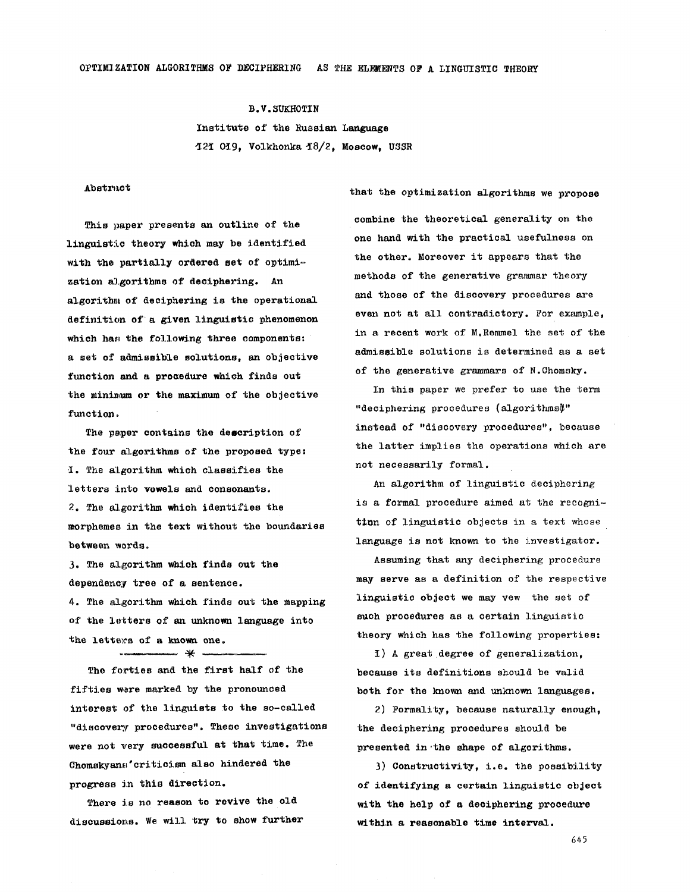**B.V.SUKHOTIN**  Institute of the Russian Language %2~ 0~9, Volkhonka ~8/2, Moscow, **USSR** 

## Abstract

This paper presents an outline of the linguistic theory which may be identified with the partially ordered set of optimization algorithms of deciphering. An algorithm of deciphering is the operational definition of a given linguistic phenomenon which has the following three components: a set of admissible solutions, an objective function and a procedure which finds out the minimum or the maximum of the objective function.

The paper contains the description of the four algorithms of the proposed type: ~. The algorithm which classifies the letters into vowels and consonants. 2. The algorithm which identifies the morphemes in the text without the boundaries between words.

3. The algorithm which finds out the dependency tree of a sentence.

4. The algorithm which finds out the mapping of the letters of an unknown language into the letters of a known one.

- א -

The forties and the first half of the fifties were marked by the pronounced interest of the linguists to the so-called "discovery procedures". These investigations were not very successful at that time. The Chomskyans' criticism also hindered the progress in this direction.

There is no reason to revive the old discussions. We will try to show further combine the theoretical generality on the one hand with the practical usefulness on the other. Moreover it appears that the methods of the generative grammar theory and those of the discovery procedures are even not at all contradictory. For example, in a recent work of M.Remmel the set of the admissible solutions is determined as a set of the generative grammars of N.Ohomsky.

that the optimization algorithms we propose

In this paper we prefer to use the term "deciphering procedures (algorithms}" instead of "discovery procedures", because the latter implies the operations which are not necessarily formal.

An algorithm of linguistic deciphering is a formal procedure aimed at the recognition of linguistic objects in a text whose language is not known to the investigator.

Assuming that any deciphering procedure may serve as a definition of the respective linguistic object we may vew the set of such procedures as a certain linguistic theory which has the following properties:

I) A great degree of generalization. because its definitions should be valid both for the known and unknown languages.

2) Formality, because naturally enough, the deciphering procedures should be presented in the shape of algorithms.

3) Constructivity, i.e. the possibility of identifying a certain linguistic object with the help of a deciphering procedure within a reasonable time interval.

645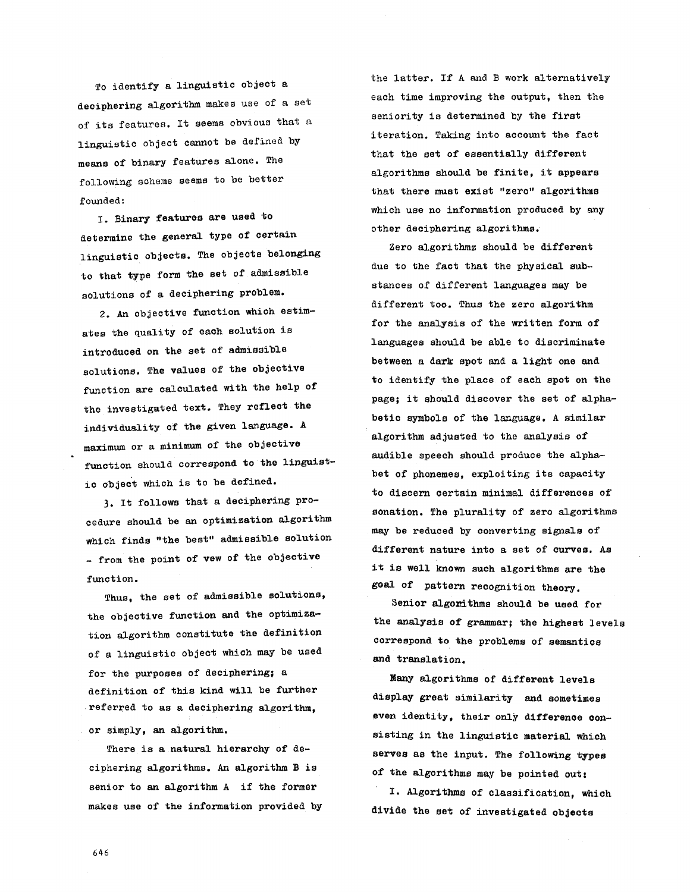To identify a linguistic object a deciphering algorithm makes use of a set of its features. It seems obvious that a linguistic object cannot be defined by means of binary features alone. The following scheme seems to be better founded:

I. Binary features are used to determine the general type of certain linguistic objects. The objects belonging to that type form the set of admissible solutions of a deciphering problem.

2. An objective function which estimates the quality of each solution is introduced on the set of admissible solutions. The values of the objective function are calculated with the help of the investigated text. They reflect the individuality of the given language. A maximum or a minimum of the objective function should correspond to the linguistic object which is to be defined.

3. It follows that a deciphering procedure should be an optimization algorithm which finds "the best" admissible solution - from the point of vew of the objective function.

Thus, the set of admissible solutions, the objective function and the optimization algorithm constitute the definition of a linguistic object which may be used for the purposes of deciphering; a definition of this kind will be further referred to as a deciphering algorithm,

or simply, an algorithm.

There is a natural hierarchy of deciphering algorithms. An algorithm B is senior to an algorithm A if the former makes use of the information provided by the latter. If A and B work alternatively each time improving the output, then the seniority is determined by the first iteration. Taking into account the fact that the set of essentially different algorithms should be finite, it appears that there must exist "zero" algorithms which use no information produced by any other deciphering algorithms.

Zero algorithmz should be different due to the fact that the physical substances of different languages may be different too. Thus the zero algorithm for the analysis of the written form of languages should be able to discriminate between a dark spot and a light one and to identify the place of each spot on the page; it should discover the set of alphabetic symbols of the language. A similar algorithm adjusted to the analysis of audible speech should produce the alphabet of phonemes, exploiting its capacity to discern certain minimal differences of sonation. The plurality of zero algorithms may be reduced by converting signals of different nature into a set of curves. As it is well known such algorithms are the goal of pattern recognition theory.

Senior algonithms should be used for the analysis of grammar; the highest levels correspond to the problems of semantics and translation.

Many algorithms of different levels display great similarity and sometimes even identity, their only difference consisting in the linguistic material which serves as the input. The following types of the algorithms may be pointed out:

I. Algorithms of classification, which divide the set of investigated objects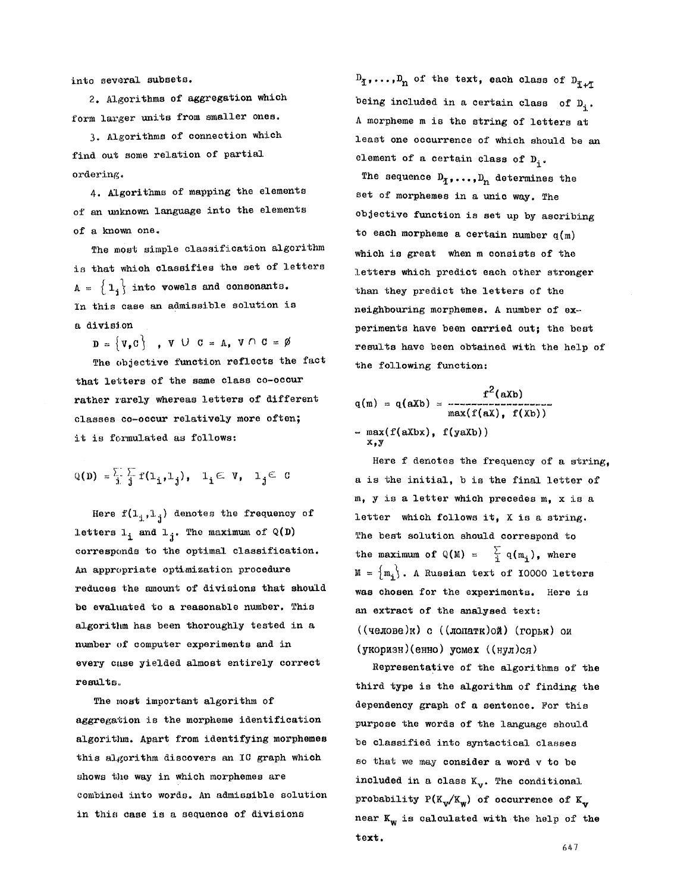into several subsets.

2. Algorithms of aggregation which form larger units from smaller ones.

3. Algorithms of connection which find out some relation of partial ordering.

4. Algorithms of mapping the elements of an unknown language into the elements of a known one.

The most simple classification algorithm is that which classifies the set of letters  $A = \{1, \}$  into vowels and consonants. In this case an admissible solution is a division

 $\mathbf{D} = \{ \mathbf{V}, \mathbf{C} \}$ ,  $\mathbf{V} \cup \mathbf{C} = \mathbf{A}, \mathbf{V} \cap \mathbf{C} = \emptyset$ 

The objective function reflects the fact that letters of the same class co-occur rather rarely whereas letters of different classes co-occur relatively more often; it is formulated as follows:

$$
\mathbb{Q}(\mathbb{D}) = \frac{\sum_{i} \sum_{j} f(1_{i}, 1_{j}), \quad 1_{i} \in V, \quad 1_{j} \in C
$$

Here  $f(1_{i}, 1_{j})$  denotes the frequency of letters  $l_i$  and  $l_j$ . The maximum of Q(D) corresponds to the optimal classification. An appropriate optimization procedure reduces the amount of divisions that should be evaluated to a reasonable number. This algorithm has been thoroughly tested in a number of computer experiments and in every case yielded almost entirely correct results°

The most important algorithm of aggregation is the morpheme identification algorithm. Apart from identifying morphemes this algorithm discovers an IC graph which shows the way in which morphemes are combined into words. An admissible solution in this case is a sequence of divisions

 $D_{\tilde{L}}$ ,..., $D_n$  of the text, each class of  $D_{\tilde{L}+\tilde{L}}$ being included in a certain class of  $D_i$ . A morpheme m is the string of letters at least one occurrence of which should be an element of a certain class of  $D_i$ .

The sequence  $D_1, \ldots, D_n$  determines the set of morphemes in a unic way. The objective function is set up by ascribing to each morpheme a certain number  $q(m)$ which is great when m consists of the letters which predict each other stronger than they predict the letters of the neighbouring morphemes. A number of sx- periments have been carried out; the best results have been obtained with the help of the following function:

$$
q(m) = q(aXb) = \frac{f^{2}(aXb)}{\max(f(aX), f(Xb))}
$$
  
- max(f(aXbx), f(yaXb))  
x,y

Here f denotes the frequency of a string, a is the initial, b is the final letter of m, y is a letter which precedes m, x is a letter which follows it, X is a string. The best solution should correspond to the maximum of  $\mathbb{Q}(M) = \frac{\sum_{i=1}^{n} q(m_i)}{n}$ , where  $M = \{m_i\}$ . A Russian text of 10000 letters was chosen for the experiments. Here is an extract of the analysed text:  $((\texttt{mean}(x), \texttt{mean}(x)))$  c  $((\texttt{normal}(x)))$ (укоризн)(енно) усмех ((нул)ся)

Representative of the algorithms of the third type is the algorithm of finding the dependency graph of a sentence. For this purpose the words of the language should be classified into syntactical classes so that we may consider a word v to be included in a class  $K_{\mathbf{v}}$ . The conditional probability  $P(K_{\nu}/K_{\nu})$  of occurrence of  $K_{\nu}$ near  $K_w$  is calculated with the help of the text.